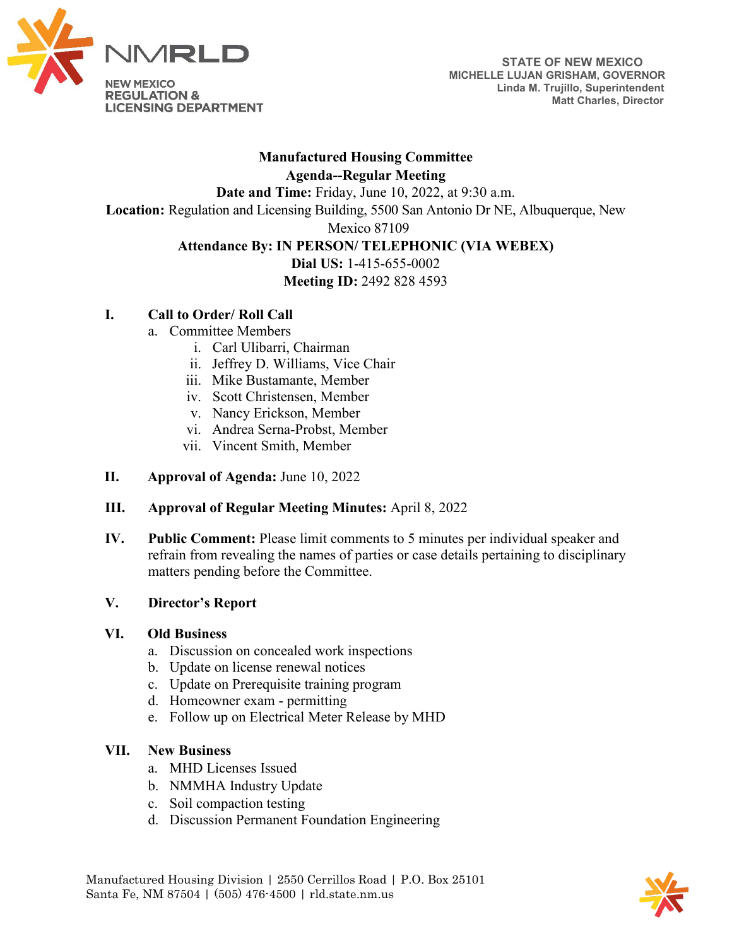

## **Manufactured Housing Committee Agenda--Regular Meeting**

**Date and Time:** Friday, June 10, 2022, at 9:30 a.m.

**Location:** Regulation and Licensing Building, 5500 San Antonio Dr NE, Albuquerque, New

Mexico 87109

## **Attendance By: IN PERSON/ TELEPHONIC (VIA WEBEX)**

**Dial US:** 1-415-655-0002 **Meeting ID:** 2492 828 4593

# **I. Call to Order/ Roll Call**

- a. Committee Members
	- i. Carl Ulibarri, Chairman
	- ii. Jeffrey D. Williams, Vice Chair
	- iii. Mike Bustamante, Member
	- iv. Scott Christensen, Member
	- v. Nancy Erickson, Member
	- vi. Andrea Serna-Probst, Member
	- vii. Vincent Smith, Member
- **II. Approval of Agenda:** June 10, 2022

## **III. Approval of Regular Meeting Minutes:** April 8, 2022

**IV. Public Comment:** Please limit comments to 5 minutes per individual speaker and refrain from revealing the names of parties or case details pertaining to disciplinary matters pending before the Committee.

#### **V. Director's Report**

#### **VI. Old Business**

- a. Discussion on concealed work inspections
- b. Update on license renewal notices
- c. Update on Prerequisite training program
- d. Homeowner exam permitting
- e. Follow up on Electrical Meter Release by MHD

## **VII. New Business**

- a. MHD Licenses Issued
- b. NMMHA Industry Update
- c. Soil compaction testing
- d. Discussion Permanent Foundation Engineering